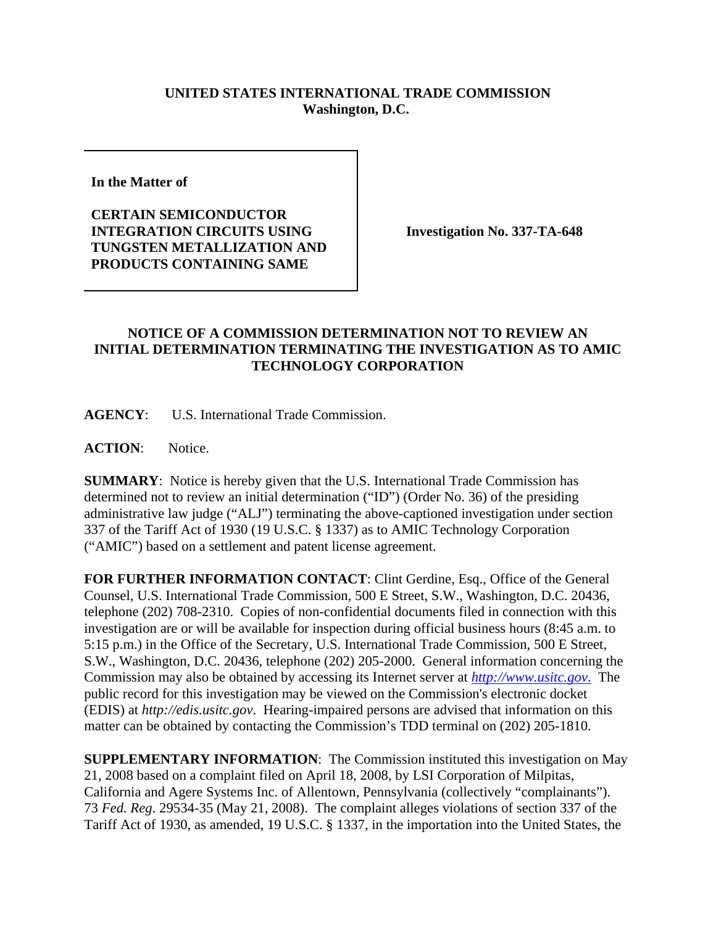## **UNITED STATES INTERNATIONAL TRADE COMMISSION Washington, D.C.**

**In the Matter of** 

**CERTAIN SEMICONDUCTOR INTEGRATION CIRCUITS USING TUNGSTEN METALLIZATION AND PRODUCTS CONTAINING SAME**

**Investigation No. 337-TA-648**

## **NOTICE OF A COMMISSION DETERMINATION NOT TO REVIEW AN INITIAL DETERMINATION TERMINATING THE INVESTIGATION AS TO AMIC TECHNOLOGY CORPORATION**

**AGENCY**: U.S. International Trade Commission.

**ACTION**: Notice.

**SUMMARY**: Notice is hereby given that the U.S. International Trade Commission has determined not to review an initial determination ("ID") (Order No. 36) of the presiding administrative law judge ("ALJ") terminating the above-captioned investigation under section 337 of the Tariff Act of 1930 (19 U.S.C. § 1337) as to AMIC Technology Corporation ("AMIC") based on a settlement and patent license agreement.

**FOR FURTHER INFORMATION CONTACT**: Clint Gerdine, Esq., Office of the General Counsel, U.S. International Trade Commission, 500 E Street, S.W., Washington, D.C. 20436, telephone (202) 708-2310. Copies of non-confidential documents filed in connection with this investigation are or will be available for inspection during official business hours (8:45 a.m. to 5:15 p.m.) in the Office of the Secretary, U.S. International Trade Commission, 500 E Street, S.W., Washington, D.C. 20436, telephone (202) 205-2000. General information concerning the Commission may also be obtained by accessing its Internet server at *http://www.usitc.gov*. The public record for this investigation may be viewed on the Commission's electronic docket (EDIS) at *http://edis.usitc.gov*. Hearing-impaired persons are advised that information on this matter can be obtained by contacting the Commission's TDD terminal on (202) 205-1810.

**SUPPLEMENTARY INFORMATION**: The Commission instituted this investigation on May 21, 2008 based on a complaint filed on April 18, 2008, by LSI Corporation of Milpitas, California and Agere Systems Inc. of Allentown, Pennsylvania (collectively "complainants"). 73 *Fed. Reg*. 29534-35 (May 21, 2008). The complaint alleges violations of section 337 of the Tariff Act of 1930, as amended, 19 U.S.C. § 1337, in the importation into the United States, the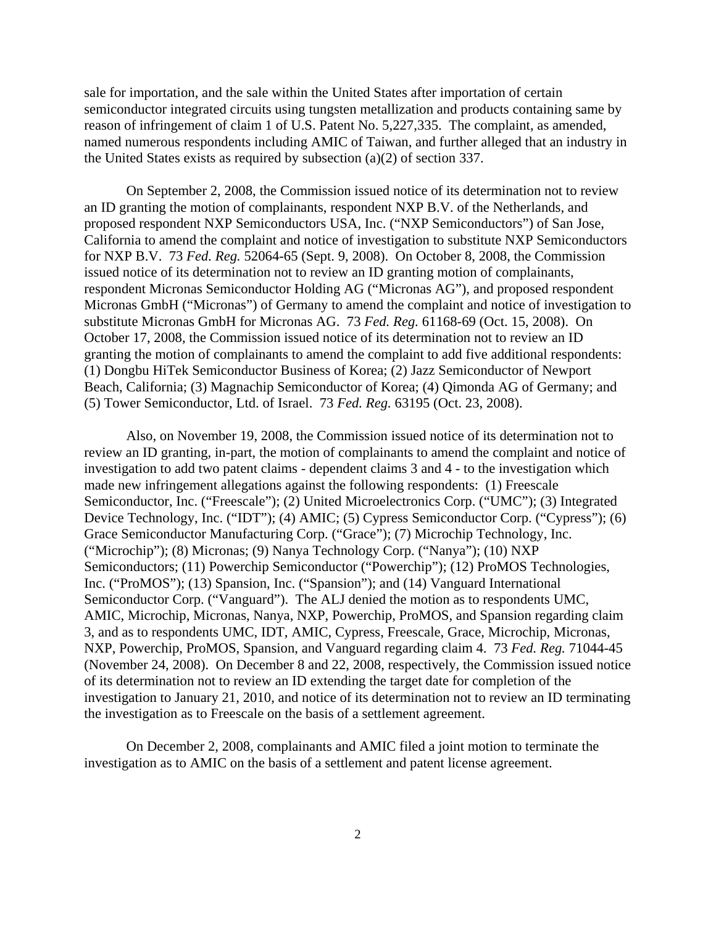sale for importation, and the sale within the United States after importation of certain semiconductor integrated circuits using tungsten metallization and products containing same by reason of infringement of claim 1 of U.S. Patent No. 5,227,335. The complaint, as amended, named numerous respondents including AMIC of Taiwan, and further alleged that an industry in the United States exists as required by subsection (a)(2) of section 337.

On September 2, 2008, the Commission issued notice of its determination not to review an ID granting the motion of complainants, respondent NXP B.V. of the Netherlands, and proposed respondent NXP Semiconductors USA, Inc. ("NXP Semiconductors") of San Jose, California to amend the complaint and notice of investigation to substitute NXP Semiconductors for NXP B.V. 73 *Fed. Reg.* 52064-65 (Sept. 9, 2008). On October 8, 2008, the Commission issued notice of its determination not to review an ID granting motion of complainants, respondent Micronas Semiconductor Holding AG ("Micronas AG"), and proposed respondent Micronas GmbH ("Micronas") of Germany to amend the complaint and notice of investigation to substitute Micronas GmbH for Micronas AG. 73 *Fed. Reg.* 61168-69 (Oct. 15, 2008). On October 17, 2008, the Commission issued notice of its determination not to review an ID granting the motion of complainants to amend the complaint to add five additional respondents: (1) Dongbu HiTek Semiconductor Business of Korea; (2) Jazz Semiconductor of Newport Beach, California; (3) Magnachip Semiconductor of Korea; (4) Qimonda AG of Germany; and (5) Tower Semiconductor, Ltd. of Israel. 73 *Fed. Reg.* 63195 (Oct. 23, 2008).

Also, on November 19, 2008, the Commission issued notice of its determination not to review an ID granting, in-part, the motion of complainants to amend the complaint and notice of investigation to add two patent claims - dependent claims 3 and 4 - to the investigation which made new infringement allegations against the following respondents: (1) Freescale Semiconductor, Inc. ("Freescale"); (2) United Microelectronics Corp. ("UMC"); (3) Integrated Device Technology, Inc. ("IDT"); (4) AMIC; (5) Cypress Semiconductor Corp. ("Cypress"); (6) Grace Semiconductor Manufacturing Corp. ("Grace"); (7) Microchip Technology, Inc. ("Microchip"); (8) Micronas; (9) Nanya Technology Corp. ("Nanya"); (10) NXP Semiconductors; (11) Powerchip Semiconductor ("Powerchip"); (12) ProMOS Technologies, Inc. ("ProMOS"); (13) Spansion, Inc. ("Spansion"); and (14) Vanguard International Semiconductor Corp. ("Vanguard"). The ALJ denied the motion as to respondents UMC, AMIC, Microchip, Micronas, Nanya, NXP, Powerchip, ProMOS, and Spansion regarding claim 3, and as to respondents UMC, IDT, AMIC, Cypress, Freescale, Grace, Microchip, Micronas, NXP, Powerchip, ProMOS, Spansion, and Vanguard regarding claim 4. 73 *Fed. Reg.* 71044-45 (November 24, 2008). On December 8 and 22, 2008, respectively, the Commission issued notice of its determination not to review an ID extending the target date for completion of the investigation to January 21, 2010, and notice of its determination not to review an ID terminating the investigation as to Freescale on the basis of a settlement agreement.

On December 2, 2008, complainants and AMIC filed a joint motion to terminate the investigation as to AMIC on the basis of a settlement and patent license agreement.